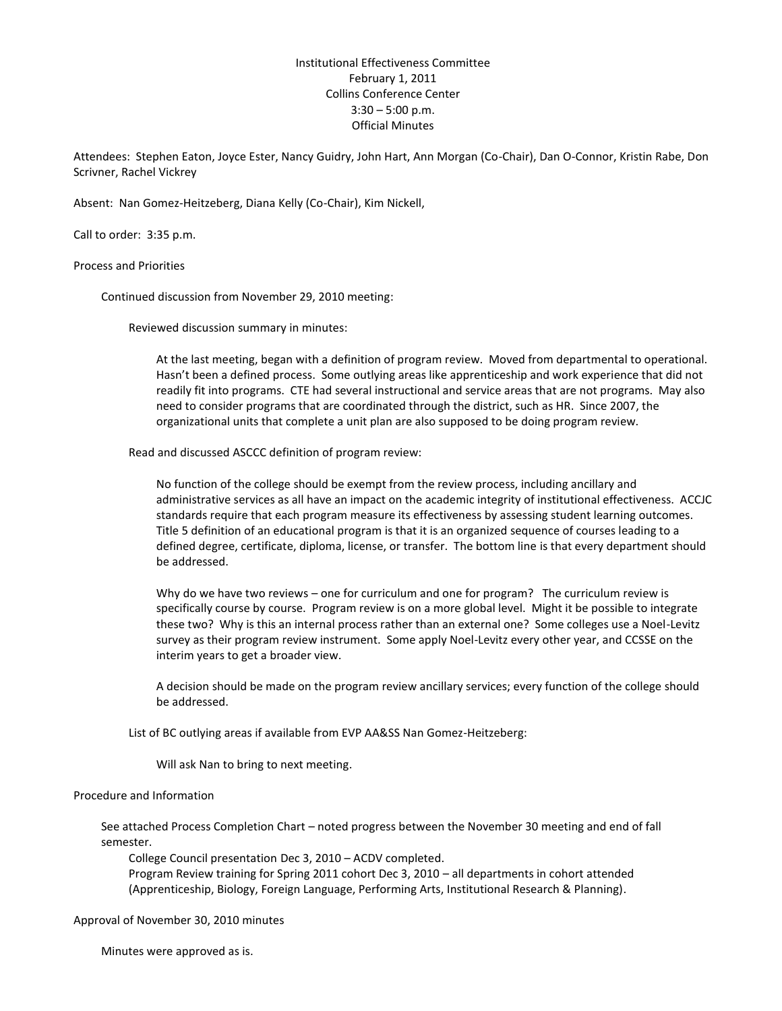Institutional Effectiveness Committee February 1, 2011 Collins Conference Center  $3:30 - 5:00$  p.m. Official Minutes

Attendees: Stephen Eaton, Joyce Ester, Nancy Guidry, John Hart, Ann Morgan (Co-Chair), Dan O-Connor, Kristin Rabe, Don Scrivner, Rachel Vickrey

Absent: Nan Gomez-Heitzeberg, Diana Kelly (Co-Chair), Kim Nickell,

Call to order: 3:35 p.m.

Process and Priorities

Continued discussion from November 29, 2010 meeting:

Reviewed discussion summary in minutes:

At the last meeting, began with a definition of program review. Moved from departmental to operational. Hasn't been a defined process. Some outlying areas like apprenticeship and work experience that did not readily fit into programs. CTE had several instructional and service areas that are not programs. May also need to consider programs that are coordinated through the district, such as HR. Since 2007, the organizational units that complete a unit plan are also supposed to be doing program review.

Read and discussed ASCCC definition of program review:

No function of the college should be exempt from the review process, including ancillary and administrative services as all have an impact on the academic integrity of institutional effectiveness. ACCJC standards require that each program measure its effectiveness by assessing student learning outcomes. Title 5 definition of an educational program is that it is an organized sequence of courses leading to a defined degree, certificate, diploma, license, or transfer. The bottom line is that every department should be addressed.

Why do we have two reviews – one for curriculum and one for program? The curriculum review is specifically course by course. Program review is on a more global level. Might it be possible to integrate these two? Why is this an internal process rather than an external one? Some colleges use a Noel-Levitz survey as their program review instrument. Some apply Noel-Levitz every other year, and CCSSE on the interim years to get a broader view.

A decision should be made on the program review ancillary services; every function of the college should be addressed.

List of BC outlying areas if available from EVP AA&SS Nan Gomez-Heitzeberg:

Will ask Nan to bring to next meeting.

#### Procedure and Information

See attached Process Completion Chart – noted progress between the November 30 meeting and end of fall semester.

College Council presentation Dec 3, 2010 – ACDV completed.

Program Review training for Spring 2011 cohort Dec 3, 2010 – all departments in cohort attended (Apprenticeship, Biology, Foreign Language, Performing Arts, Institutional Research & Planning).

Approval of November 30, 2010 minutes

Minutes were approved as is.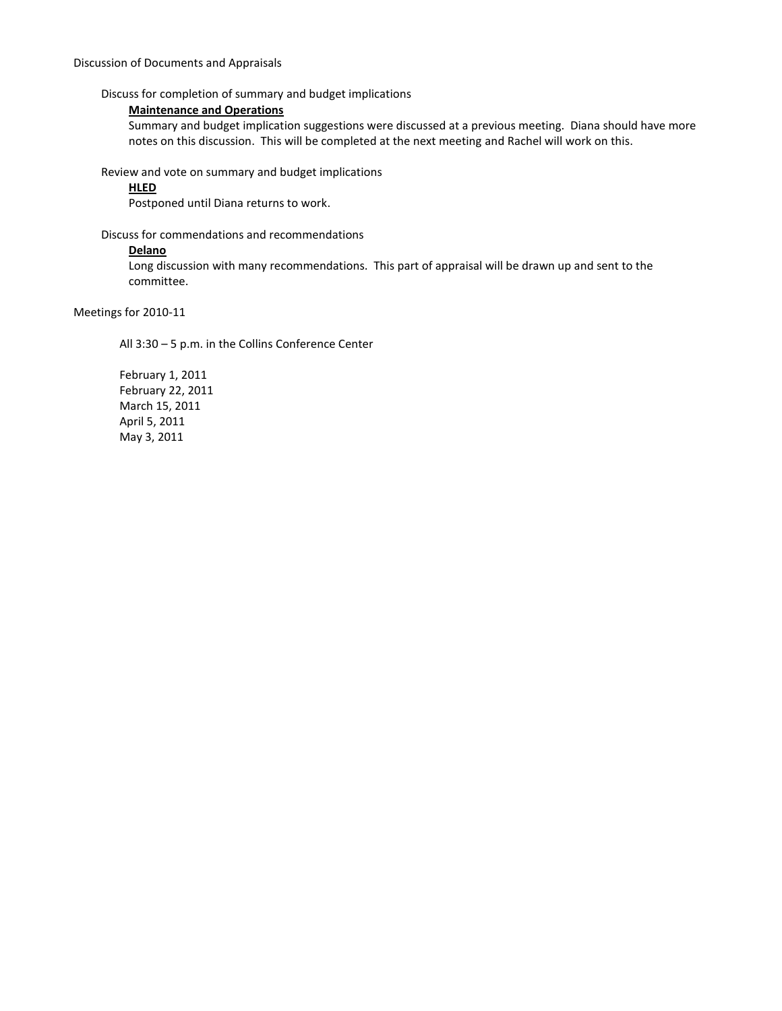Discuss for completion of summary and budget implications

# **Maintenance and Operations**

Summary and budget implication suggestions were discussed at a previous meeting. Diana should have more notes on this discussion. This will be completed at the next meeting and Rachel will work on this.

Review and vote on summary and budget implications

## **HLED**

Postponed until Diana returns to work.

Discuss for commendations and recommendations

### **Delano**

Long discussion with many recommendations. This part of appraisal will be drawn up and sent to the committee.

Meetings for 2010-11

All 3:30 – 5 p.m. in the Collins Conference Center

February 1, 2011 February 22, 2011 March 15, 2011 April 5, 2011 May 3, 2011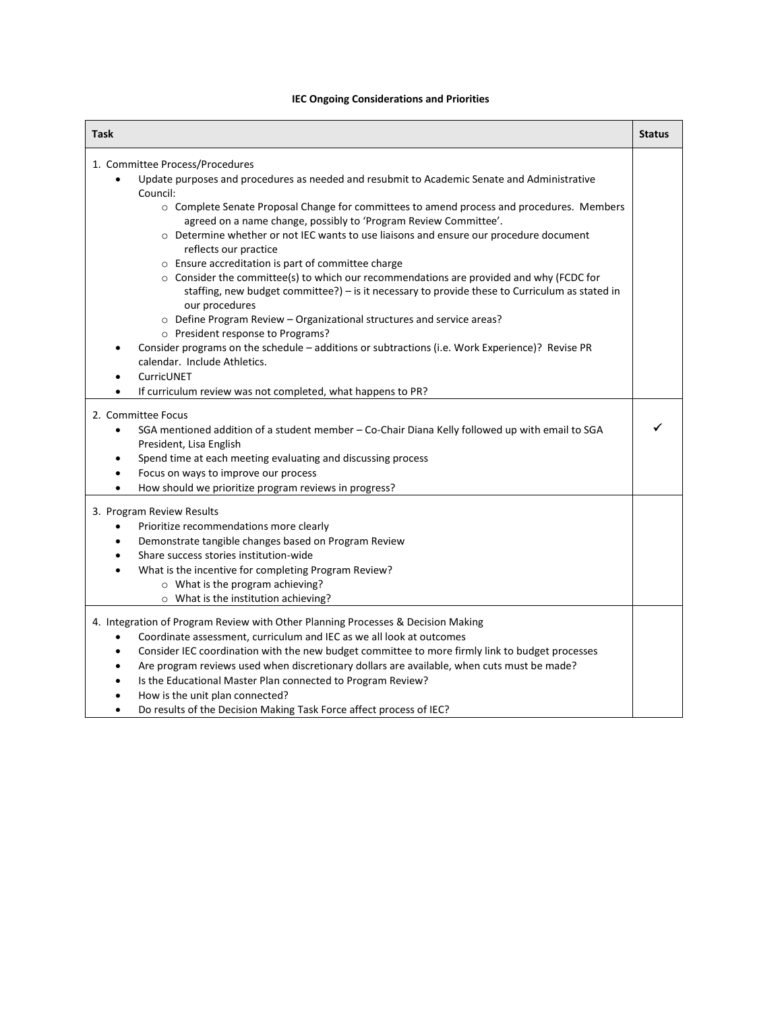# **IEC Ongoing Considerations and Priorities**

| Task                                                                                                                                                                                                                                                                                                                                                                                                                                                                                                                                                                                                                                                                                                                                                                                                                          | <b>Status</b> |
|-------------------------------------------------------------------------------------------------------------------------------------------------------------------------------------------------------------------------------------------------------------------------------------------------------------------------------------------------------------------------------------------------------------------------------------------------------------------------------------------------------------------------------------------------------------------------------------------------------------------------------------------------------------------------------------------------------------------------------------------------------------------------------------------------------------------------------|---------------|
| 1. Committee Process/Procedures                                                                                                                                                                                                                                                                                                                                                                                                                                                                                                                                                                                                                                                                                                                                                                                               |               |
| Update purposes and procedures as needed and resubmit to Academic Senate and Administrative<br>$\bullet$<br>Council:                                                                                                                                                                                                                                                                                                                                                                                                                                                                                                                                                                                                                                                                                                          |               |
| o Complete Senate Proposal Change for committees to amend process and procedures. Members<br>agreed on a name change, possibly to 'Program Review Committee'.<br>o Determine whether or not IEC wants to use liaisons and ensure our procedure document<br>reflects our practice<br>o Ensure accreditation is part of committee charge<br>$\circ$ Consider the committee(s) to which our recommendations are provided and why (FCDC for<br>staffing, new budget committee?) $-$ is it necessary to provide these to Curriculum as stated in<br>our procedures<br>o Define Program Review - Organizational structures and service areas?<br>o President response to Programs?<br>Consider programs on the schedule - additions or subtractions (i.e. Work Experience)? Revise PR<br>calendar. Include Athletics.<br>CurricUNET |               |
| If curriculum review was not completed, what happens to PR?                                                                                                                                                                                                                                                                                                                                                                                                                                                                                                                                                                                                                                                                                                                                                                   |               |
| 2. Committee Focus<br>SGA mentioned addition of a student member - Co-Chair Diana Kelly followed up with email to SGA<br>$\bullet$<br>President, Lisa English<br>Spend time at each meeting evaluating and discussing process<br>Focus on ways to improve our process<br>How should we prioritize program reviews in progress?                                                                                                                                                                                                                                                                                                                                                                                                                                                                                                |               |
| 3. Program Review Results<br>Prioritize recommendations more clearly<br>Demonstrate tangible changes based on Program Review<br>Share success stories institution-wide<br>What is the incentive for completing Program Review?<br>o What is the program achieving?<br>o What is the institution achieving?                                                                                                                                                                                                                                                                                                                                                                                                                                                                                                                    |               |
| 4. Integration of Program Review with Other Planning Processes & Decision Making<br>Coordinate assessment, curriculum and IEC as we all look at outcomes<br>Consider IEC coordination with the new budget committee to more firmly link to budget processes<br>$\bullet$<br>Are program reviews used when discretionary dollars are available, when cuts must be made?<br>Is the Educational Master Plan connected to Program Review?<br>How is the unit plan connected?<br>Do results of the Decision Making Task Force affect process of IEC?                                                                                                                                                                                                                                                                               |               |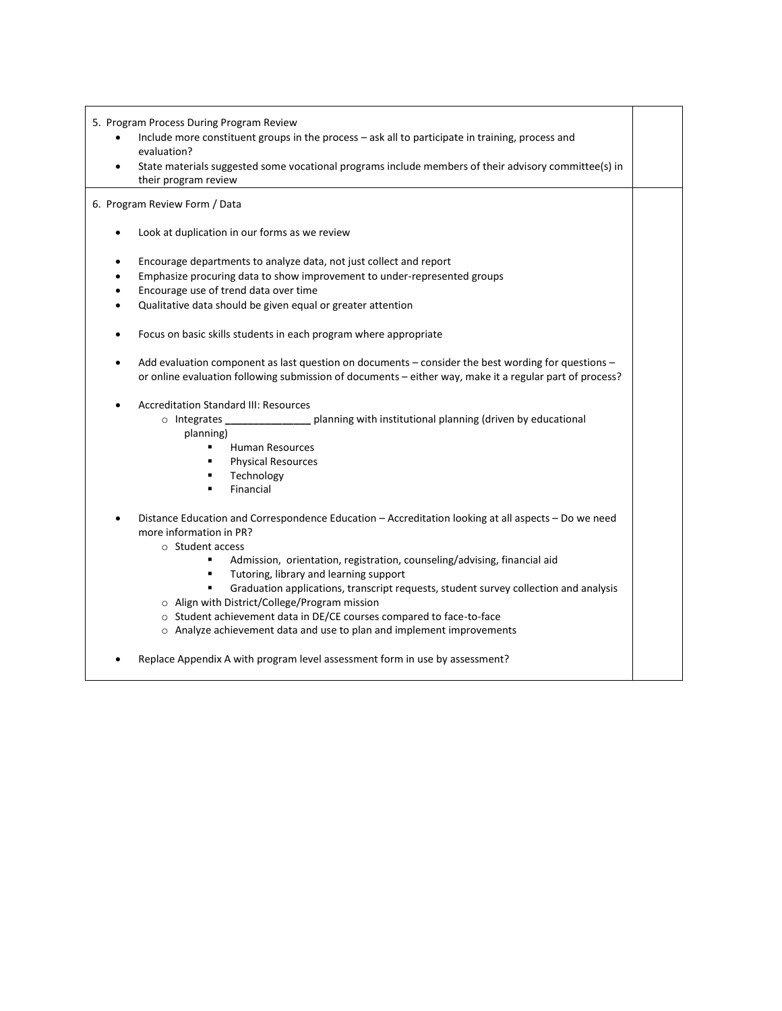5. Program Process During Program Review

- Include more constituent groups in the process ask all to participate in training, process and evaluation?
- State materials suggested some vocational programs include members of their advisory committee(s) in their program review

6. Program Review Form / Data

- Look at duplication in our forms as we review
- Encourage departments to analyze data, not just collect and report
- Emphasize procuring data to show improvement to under-represented groups
- Encourage use of trend data over time
- Qualitative data should be given equal or greater attention
- Focus on basic skills students in each program where appropriate
- Add evaluation component as last question on documents consider the best wording for questions or online evaluation following submission of documents – either way, make it a regular part of process?
- Accreditation Standard III: Resources
	- o Integrates **\_\_\_\_\_\_\_\_\_\_\_\_\_\_\_** planning with institutional planning (driven by educational planning)
		- **Human Resources**
		- Physical Resources
		- Technology
		- Financial

 Distance Education and Correspondence Education – Accreditation looking at all aspects – Do we need more information in PR?

- o Student access
	- Admission, orientation, registration, counseling/advising, financial aid
	- Tutoring, library and learning support
	- Graduation applications, transcript requests, student survey collection and analysis
- o Align with District/College/Program mission
- o Student achievement data in DE/CE courses compared to face-to-face
- o Analyze achievement data and use to plan and implement improvements
- Replace Appendix A with program level assessment form in use by assessment?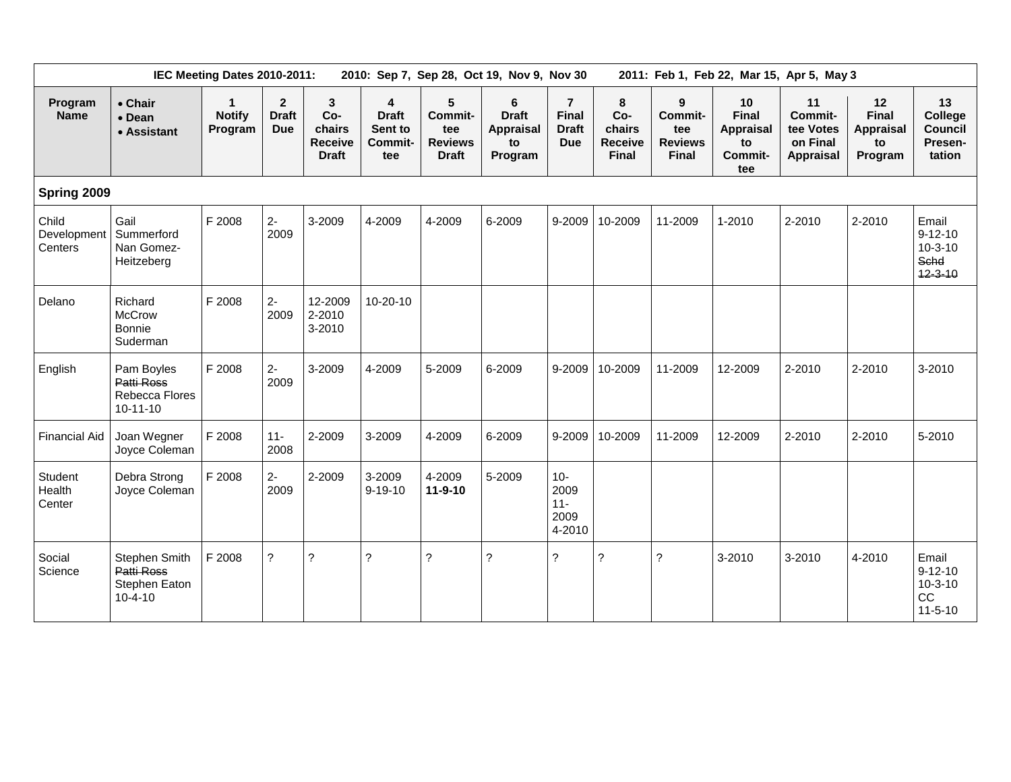| IEC Meeting Dates 2010-2011:<br>2010: Sep 7, Sep 28, Oct 19, Nov 9, Nov 30 |                                                               |                                          |                                            |                                                      |                                                       |                                                       |                                                 |                                                              |                                                      | 2011: Feb 1, Feb 22, Mar 15, Apr 5, May 3             |                                                         |                                                            |                                           |                                                                  |  |  |
|----------------------------------------------------------------------------|---------------------------------------------------------------|------------------------------------------|--------------------------------------------|------------------------------------------------------|-------------------------------------------------------|-------------------------------------------------------|-------------------------------------------------|--------------------------------------------------------------|------------------------------------------------------|-------------------------------------------------------|---------------------------------------------------------|------------------------------------------------------------|-------------------------------------------|------------------------------------------------------------------|--|--|
| Program<br><b>Name</b>                                                     | • Chair<br>• Dean<br>• Assistant                              | $\mathbf{1}$<br><b>Notify</b><br>Program | $\mathbf{2}$<br><b>Draft</b><br><b>Due</b> | 3<br>Co-<br>chairs<br><b>Receive</b><br><b>Draft</b> | 4<br><b>Draft</b><br>Sent to<br><b>Commit-</b><br>tee | 5<br>Commit-<br>tee<br><b>Reviews</b><br><b>Draft</b> | 6<br><b>Draft</b><br>Appraisal<br>to<br>Program | $\overline{7}$<br><b>Final</b><br><b>Draft</b><br><b>Due</b> | 8<br>Co-<br>chairs<br><b>Receive</b><br><b>Final</b> | 9<br>Commit-<br>tee<br><b>Reviews</b><br><b>Final</b> | 10<br><b>Final</b><br>Appraisal<br>to<br>Commit-<br>tee | 11<br>Commit-<br>tee Votes<br>on Final<br><b>Appraisal</b> | 12<br>Final<br>Appraisal<br>to<br>Program | 13<br>College<br><b>Council</b><br>Presen-<br>tation             |  |  |
|                                                                            | Spring 2009                                                   |                                          |                                            |                                                      |                                                       |                                                       |                                                 |                                                              |                                                      |                                                       |                                                         |                                                            |                                           |                                                                  |  |  |
| Child<br>Development<br>Centers                                            | Gail<br>Summerford<br>Nan Gomez-<br>Heitzeberg                | F 2008                                   | $2-$<br>2009                               | 3-2009                                               | 4-2009                                                | 4-2009                                                | 6-2009                                          | 9-2009                                                       | 10-2009                                              | 11-2009                                               | 1-2010                                                  | 2-2010                                                     | 2-2010                                    | Email<br>$9 - 12 - 10$<br>$10 - 3 - 10$<br>Schd<br>$12 - 3 - 10$ |  |  |
| Delano                                                                     | Richard<br><b>McCrow</b><br>Bonnie<br>Suderman                | F 2008                                   | $2-$<br>2009                               | 12-2009<br>2-2010<br>3-2010                          | $10 - 20 - 10$                                        |                                                       |                                                 |                                                              |                                                      |                                                       |                                                         |                                                            |                                           |                                                                  |  |  |
| English                                                                    | Pam Boyles<br>Patti Ross<br>Rebecca Flores<br>$10 - 11 - 10$  | F 2008                                   | $2-$<br>2009                               | 3-2009                                               | 4-2009                                                | 5-2009                                                | 6-2009                                          | 9-2009                                                       | 10-2009                                              | 11-2009                                               | 12-2009                                                 | 2-2010                                                     | 2-2010                                    | 3-2010                                                           |  |  |
| <b>Financial Aid</b>                                                       | Joan Wegner<br>Joyce Coleman                                  | F 2008                                   | $11 -$<br>2008                             | 2-2009                                               | 3-2009                                                | 4-2009                                                | 6-2009                                          | 9-2009                                                       | 10-2009                                              | 11-2009                                               | 12-2009                                                 | 2-2010                                                     | 2-2010                                    | 5-2010                                                           |  |  |
| Student<br>Health<br>Center                                                | Debra Strong<br>Joyce Coleman                                 | F 2008                                   | $2-$<br>2009                               | 2-2009                                               | 3-2009<br>$9 - 19 - 10$                               | 4-2009<br>$11 - 9 - 10$                               | 5-2009                                          | $10 -$<br>2009<br>$11 -$<br>2009<br>4-2010                   |                                                      |                                                       |                                                         |                                                            |                                           |                                                                  |  |  |
| Social<br>Science                                                          | Stephen Smith<br>Patti Ross<br>Stephen Eaton<br>$10 - 4 - 10$ | F 2008                                   | $\overline{?}$                             | ?                                                    | ?                                                     | $\tilde{?}$                                           | ?                                               | ?                                                            | ?                                                    | ?                                                     | 3-2010                                                  | 3-2010                                                     | 4-2010                                    | Email<br>$9 - 12 - 10$<br>$10 - 3 - 10$<br>CC<br>$11 - 5 - 10$   |  |  |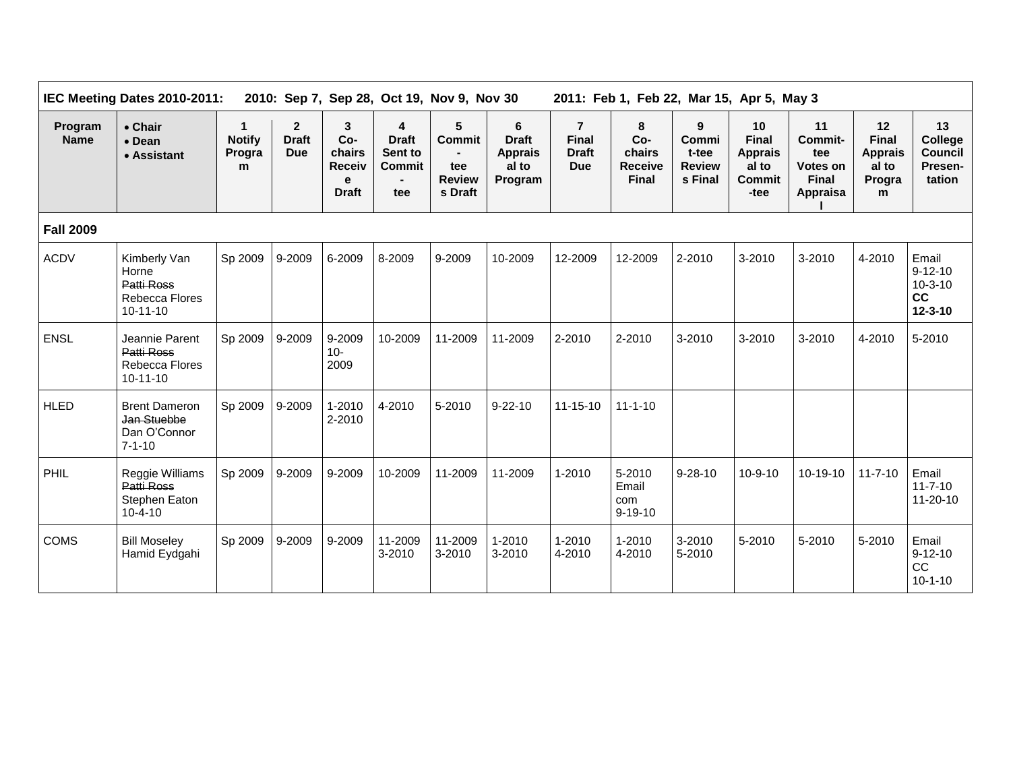| Program<br><b>Name</b> | • Chair<br>$\bullet$ Dean<br>• Assistant                                | $\mathbf 1$<br><b>Notify</b><br>Progra<br>m | $\overline{2}$<br><b>Draft</b><br><b>Due</b> | 3<br>Co-<br>chairs<br><b>Receiv</b><br>e<br><b>Draft</b> | 4<br><b>Draft</b><br>Sent to<br>Commit<br>tee | 5<br><b>Commit</b><br>tee<br><b>Review</b><br>s Draft | 6<br><b>Draft</b><br><b>Apprais</b><br>al to<br>Program | $\overline{7}$<br><b>Final</b><br><b>Draft</b><br><b>Due</b> | 8<br>$Co-$<br>chairs<br><b>Receive</b><br><b>Final</b> | 9<br>Commi<br>t-tee<br><b>Review</b><br>s Final | 10<br><b>Final</b><br><b>Apprais</b><br>al to<br><b>Commit</b><br>-tee | 11<br>Commit-<br>tee<br>Votes on<br><b>Final</b><br>Appraisa | 12<br><b>Final</b><br><b>Apprais</b><br>al to<br>Progra<br>m | 13<br>College<br><b>Council</b><br>Presen-<br>tation       |
|------------------------|-------------------------------------------------------------------------|---------------------------------------------|----------------------------------------------|----------------------------------------------------------|-----------------------------------------------|-------------------------------------------------------|---------------------------------------------------------|--------------------------------------------------------------|--------------------------------------------------------|-------------------------------------------------|------------------------------------------------------------------------|--------------------------------------------------------------|--------------------------------------------------------------|------------------------------------------------------------|
| <b>Fall 2009</b>       |                                                                         |                                             |                                              |                                                          |                                               |                                                       |                                                         |                                                              |                                                        |                                                 |                                                                        |                                                              |                                                              |                                                            |
| <b>ACDV</b>            | Kimberly Van<br>Horne<br>Patti Ross<br>Rebecca Flores<br>$10 - 11 - 10$ | Sp 2009                                     | 9-2009                                       | 6-2009                                                   | 8-2009                                        | 9-2009                                                | 10-2009                                                 | 12-2009                                                      | 12-2009                                                | 2-2010                                          | $3 - 2010$                                                             | 3-2010                                                       | 4-2010                                                       | Email<br>$9 - 12 - 10$<br>$10-3-10$<br>cc<br>$12 - 3 - 10$ |
| ENSL                   | Jeannie Parent<br><b>Patti Ross</b><br>Rebecca Flores<br>$10-11-10$     | Sp 2009                                     | 9-2009                                       | 9-2009<br>$10 -$<br>2009                                 | 10-2009                                       | 11-2009                                               | 11-2009                                                 | 2-2010                                                       | 2-2010                                                 | 3-2010                                          | 3-2010                                                                 | 3-2010                                                       | 4-2010                                                       | 5-2010                                                     |
| <b>HLED</b>            | <b>Brent Dameron</b><br>Jan Stuebbe<br>Dan O'Connor<br>$7 - 1 - 10$     | Sp 2009                                     | 9-2009                                       | 1-2010<br>2-2010                                         | 4-2010                                        | 5-2010                                                | $9 - 22 - 10$                                           | $11 - 15 - 10$                                               | $11 - 1 - 10$                                          |                                                 |                                                                        |                                                              |                                                              |                                                            |
| PHIL                   | Reggie Williams<br><b>Patti Ross</b><br>Stephen Eaton<br>$10 - 4 - 10$  | Sp 2009                                     | 9-2009                                       | 9-2009                                                   | 10-2009                                       | 11-2009                                               | 11-2009                                                 | $1 - 2010$                                                   | 5-2010<br>Email<br>com<br>$9 - 19 - 10$                | $9 - 28 - 10$                                   | $10 - 9 - 10$                                                          | 10-19-10                                                     | $11 - 7 - 10$                                                | Email<br>$11 - 7 - 10$<br>$11 - 20 - 10$                   |
| COMS                   | <b>Bill Moseley</b><br>Hamid Eydgahi                                    | Sp 2009                                     | 9-2009                                       | 9-2009                                                   | 11-2009<br>3-2010                             | 11-2009<br>3-2010                                     | $1 - 2010$<br>$3 - 2010$                                | 1-2010<br>4-2010                                             | 1-2010<br>4-2010                                       | 3-2010<br>5-2010                                | 5-2010                                                                 | 5-2010                                                       | 5-2010                                                       | Email<br>$9 - 12 - 10$<br>CC<br>$10 - 1 - 10$              |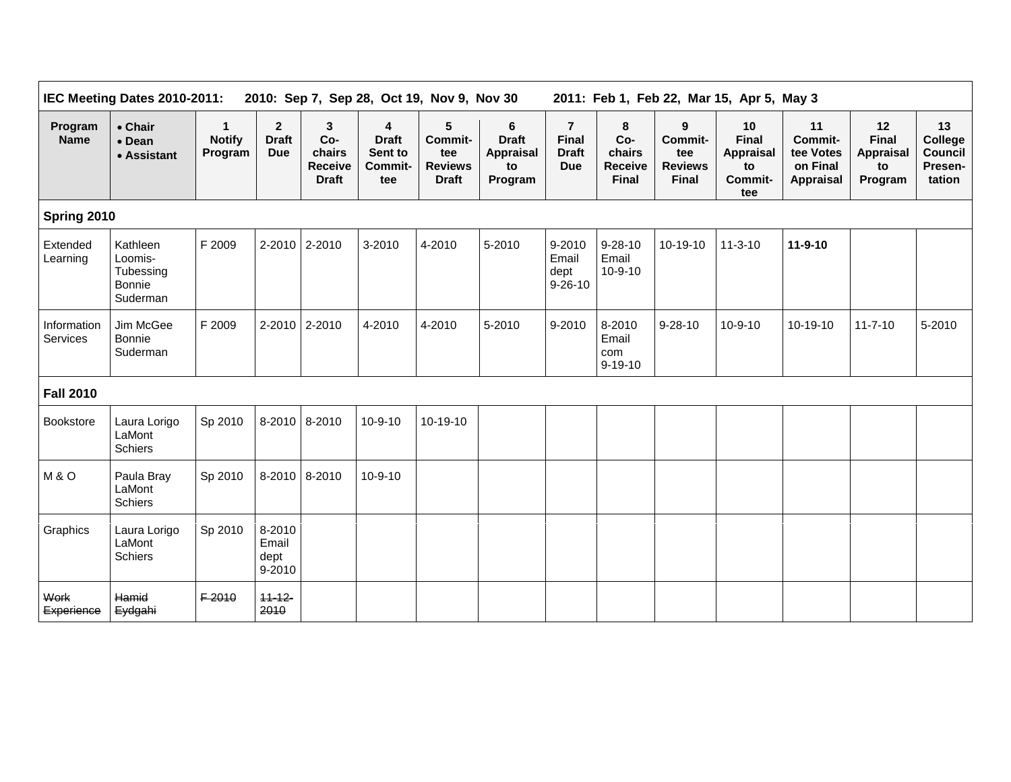|                         | IEC Meeting Dates 2010-2011:                                  |                               | 2010: Sep 7, Sep 28, Oct 19, Nov 9, Nov 30 | 2011: Feb 1, Feb 22, Mar 15, Apr 5, May 3            |                                                |                                                       |                                                        |                                                              |                                                      |                                                       |                                                         |                                                                   |                                                         |                                                      |
|-------------------------|---------------------------------------------------------------|-------------------------------|--------------------------------------------|------------------------------------------------------|------------------------------------------------|-------------------------------------------------------|--------------------------------------------------------|--------------------------------------------------------------|------------------------------------------------------|-------------------------------------------------------|---------------------------------------------------------|-------------------------------------------------------------------|---------------------------------------------------------|------------------------------------------------------|
| Program<br><b>Name</b>  | • Chair<br>• Dean<br>• Assistant                              | 1<br><b>Notify</b><br>Program | $\mathbf{2}$<br><b>Draft</b><br><b>Due</b> | 3<br>Co-<br>chairs<br><b>Receive</b><br><b>Draft</b> | 4<br><b>Draft</b><br>Sent to<br>Commit-<br>tee | 5<br>Commit-<br>tee<br><b>Reviews</b><br><b>Draft</b> | 6<br><b>Draft</b><br><b>Appraisal</b><br>to<br>Program | $\overline{7}$<br><b>Final</b><br><b>Draft</b><br><b>Due</b> | 8<br>Co-<br>chairs<br><b>Receive</b><br><b>Final</b> | 9<br>Commit-<br>tee<br><b>Reviews</b><br><b>Final</b> | 10<br><b>Final</b><br>Appraisal<br>to<br>Commit-<br>tee | 11<br><b>Commit-</b><br>tee Votes<br>on Final<br><b>Appraisal</b> | 12<br><b>Final</b><br><b>Appraisal</b><br>to<br>Program | 13<br>College<br><b>Council</b><br>Presen-<br>tation |
| Spring 2010             |                                                               |                               |                                            |                                                      |                                                |                                                       |                                                        |                                                              |                                                      |                                                       |                                                         |                                                                   |                                                         |                                                      |
| Extended<br>Learning    | Kathleen<br>Loomis-<br>Tubessing<br><b>Bonnie</b><br>Suderman | F 2009                        |                                            | 2-2010 2-2010                                        | 3-2010                                         | 4-2010                                                | 5-2010                                                 | 9-2010<br>Email<br>dept<br>$9 - 26 - 10$                     | $9 - 28 - 10$<br>Email<br>$10 - 9 - 10$              | 10-19-10                                              | $11 - 3 - 10$                                           | 11-9-10                                                           |                                                         |                                                      |
| Information<br>Services | Jim McGee<br><b>Bonnie</b><br>Suderman                        | F 2009                        |                                            | 2-2010 2-2010                                        | 4-2010                                         | 4-2010                                                | 5-2010                                                 | 9-2010                                                       | 8-2010<br>Email<br>com<br>$9 - 19 - 10$              | $9 - 28 - 10$                                         | $10 - 9 - 10$                                           | 10-19-10                                                          | $11 - 7 - 10$                                           | 5-2010                                               |
| <b>Fall 2010</b>        |                                                               |                               |                                            |                                                      |                                                |                                                       |                                                        |                                                              |                                                      |                                                       |                                                         |                                                                   |                                                         |                                                      |
| <b>Bookstore</b>        | Laura Lorigo<br>LaMont<br>Schiers                             | Sp 2010                       |                                            | 8-2010 8-2010                                        | $10-9-10$                                      | 10-19-10                                              |                                                        |                                                              |                                                      |                                                       |                                                         |                                                                   |                                                         |                                                      |
| M&O                     | Paula Bray<br>LaMont<br><b>Schiers</b>                        | Sp 2010                       |                                            | 8-2010 8-2010                                        | $10 - 9 - 10$                                  |                                                       |                                                        |                                                              |                                                      |                                                       |                                                         |                                                                   |                                                         |                                                      |
| Graphics                | Laura Lorigo<br>LaMont<br><b>Schiers</b>                      | Sp 2010                       | 8-2010<br>Email<br>dept<br>9-2010          |                                                      |                                                |                                                       |                                                        |                                                              |                                                      |                                                       |                                                         |                                                                   |                                                         |                                                      |
| Work<br>Experience      | Hamid<br>Eydgahi                                              | F-2010                        | $11 - 12$<br>2010                          |                                                      |                                                |                                                       |                                                        |                                                              |                                                      |                                                       |                                                         |                                                                   |                                                         |                                                      |